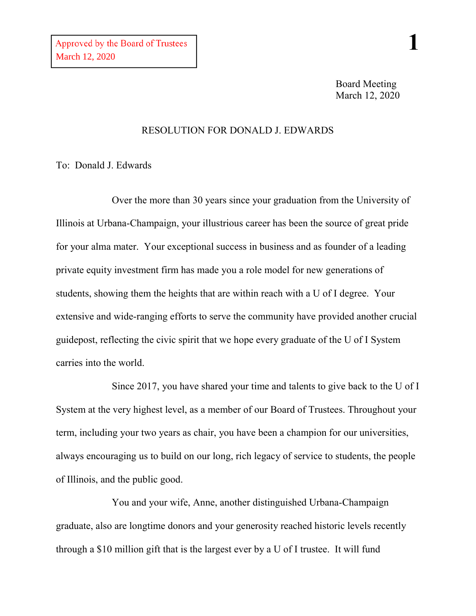## RESOLUTION FOR DONALD J. EDWARDS

To: Donald J. Edwards

Over the more than 30 years since your graduation from the University of Illinois at Urbana-Champaign, your illustrious career has been the source of great pride for your alma mater. Your exceptional success in business and as founder of a leading private equity investment firm has made you a role model for new generations of students, showing them the heights that are within reach with a U of I degree. Your extensive and wide-ranging efforts to serve the community have provided another crucial guidepost, reflecting the civic spirit that we hope every graduate of the U of I System carries into the world.

Since 2017, you have shared your time and talents to give back to the U of I System at the very highest level, as a member of our Board of Trustees. Throughout your term, including your two years as chair, you have been a champion for our universities, always encouraging us to build on our long, rich legacy of service to students, the people of Illinois, and the public good.

You and your wife, Anne, another distinguished Urbana-Champaign graduate, also are longtime donors and your generosity reached historic levels recently through a \$10 million gift that is the largest ever by a U of I trustee. It will fund